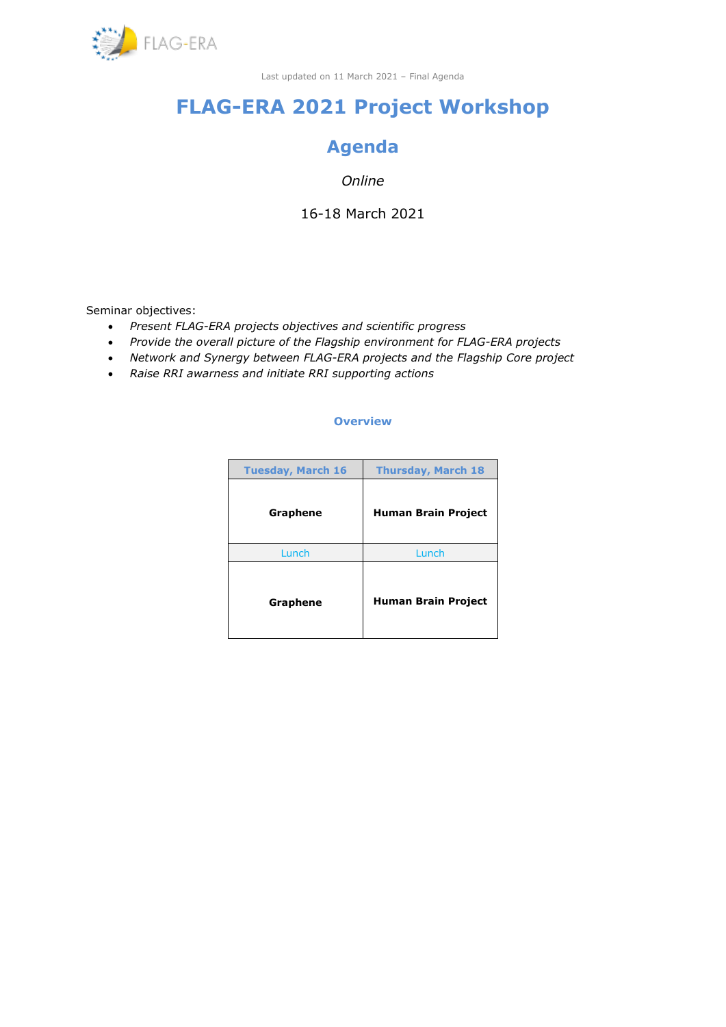

# **FLAG-ERA 2021 Project Workshop**

# **Agenda**

# *Online*

16-18 March 2021

Seminar objectives:

- *Present FLAG-ERA projects objectives and scientific progress*
- *Provide the overall picture of the Flagship environment for FLAG-ERA projects*
- *Network and Synergy between FLAG-ERA projects and the Flagship Core project*
- *Raise RRI awarness and initiate RRI supporting actions*

### **Overview**

| <b>Tuesday, March 16</b> | <b>Thursday, March 18</b>  |  |  |
|--------------------------|----------------------------|--|--|
| Graphene                 | <b>Human Brain Project</b> |  |  |
| Lunch                    | Lunch                      |  |  |
| Graphene                 | <b>Human Brain Project</b> |  |  |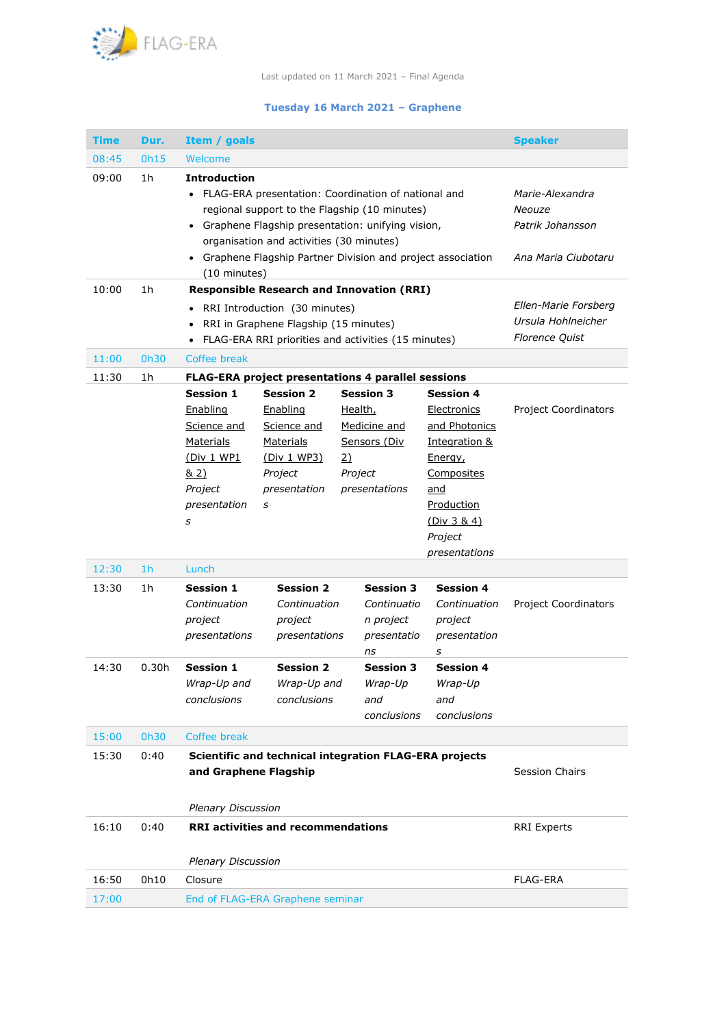

## **Tuesday 16 March 2021 – Graphene**

| <b>Time</b> | Dur.           | Item / goals                                                                                                                                                                                                                                                                                                                          |                                                                                                         |                                 |                                                                   |                                                                                                                                                                      | <b>Speaker</b>                                                      |  |
|-------------|----------------|---------------------------------------------------------------------------------------------------------------------------------------------------------------------------------------------------------------------------------------------------------------------------------------------------------------------------------------|---------------------------------------------------------------------------------------------------------|---------------------------------|-------------------------------------------------------------------|----------------------------------------------------------------------------------------------------------------------------------------------------------------------|---------------------------------------------------------------------|--|
| 08:45       | 0h15           | Welcome                                                                                                                                                                                                                                                                                                                               |                                                                                                         |                                 |                                                                   |                                                                                                                                                                      |                                                                     |  |
| 09:00       | 1h             | <b>Introduction</b><br>FLAG-ERA presentation: Coordination of national and<br>$\bullet$<br>regional support to the Flagship (10 minutes)<br>Graphene Flagship presentation: unifying vision,<br>$\bullet$<br>organisation and activities (30 minutes)<br>• Graphene Flagship Partner Division and project association<br>(10 minutes) | Marie-Alexandra<br>Neouze<br>Patrik Johansson<br>Ana Maria Ciubotaru                                    |                                 |                                                                   |                                                                                                                                                                      |                                                                     |  |
| 10:00       | 1h             | <b>Responsible Research and Innovation (RRI)</b>                                                                                                                                                                                                                                                                                      |                                                                                                         |                                 |                                                                   |                                                                                                                                                                      |                                                                     |  |
|             |                | RRI Introduction (30 minutes)<br>٠<br>RRI in Graphene Flagship (15 minutes)<br>FLAG-ERA RRI priorities and activities (15 minutes)                                                                                                                                                                                                    |                                                                                                         |                                 |                                                                   |                                                                                                                                                                      | Ellen-Marie Forsberg<br>Ursula Hohlneicher<br><b>Florence Quist</b> |  |
| 11:00       | 0h30           | Coffee break                                                                                                                                                                                                                                                                                                                          |                                                                                                         |                                 |                                                                   |                                                                                                                                                                      |                                                                     |  |
| 11:30       | 1h             |                                                                                                                                                                                                                                                                                                                                       | <b>FLAG-ERA project presentations 4 parallel sessions</b>                                               |                                 |                                                                   |                                                                                                                                                                      |                                                                     |  |
|             |                | <b>Session 1</b><br>Enabling<br>Science and<br><b>Materials</b><br><u>(Div 1 WP1</u><br>& 2)<br>Project<br>presentation<br>s                                                                                                                                                                                                          | <b>Session 2</b><br>Enabling<br>Science and<br>Materials<br>(Div 1 WP3)<br>Project<br>presentation<br>s | Health,<br><u>2)</u><br>Project | <b>Session 3</b><br>Medicine and<br>Sensors (Div<br>presentations | <b>Session 4</b><br>Electronics<br>and Photonics<br>Integration &<br>Energy,<br>Composites<br><u>and</u><br>Production<br>(Div $3 & 4$ )<br>Project<br>presentations | <b>Project Coordinators</b>                                         |  |
| 12:30       | 1 <sub>h</sub> | Lunch                                                                                                                                                                                                                                                                                                                                 |                                                                                                         |                                 |                                                                   |                                                                                                                                                                      |                                                                     |  |
| 13:30       | 1h             | <b>Session 1</b><br>Continuation<br>project<br>presentations                                                                                                                                                                                                                                                                          | <b>Session 2</b><br>Continuation<br>project<br>presentations                                            |                                 | <b>Session 3</b><br>Continuatio<br>n project<br>presentatio<br>ns | <b>Session 4</b><br>Continuation<br>project<br>presentation<br>s                                                                                                     | <b>Project Coordinators</b>                                         |  |
| 14:30       | 0.30h          | <b>Session 1</b><br>Wrap-Up and<br>conclusions                                                                                                                                                                                                                                                                                        | <b>Session 2</b><br>Wrap-Up and<br>conclusions                                                          |                                 | <b>Session 3</b><br>Wrap-Up<br>and<br>conclusions                 | <b>Session 4</b><br>Wrap-Up<br>and<br>conclusions                                                                                                                    |                                                                     |  |
| 15:00       | 0h30           | Coffee break                                                                                                                                                                                                                                                                                                                          |                                                                                                         |                                 |                                                                   |                                                                                                                                                                      |                                                                     |  |
| 15:30       | 0:40           | Scientific and technical integration FLAG-ERA projects<br>and Graphene Flagship<br><b>Plenary Discussion</b>                                                                                                                                                                                                                          |                                                                                                         |                                 |                                                                   |                                                                                                                                                                      | <b>Session Chairs</b>                                               |  |
| 16:10       | 0:40           | <b>RRI</b> activities and recommendations<br><b>Plenary Discussion</b>                                                                                                                                                                                                                                                                |                                                                                                         |                                 |                                                                   |                                                                                                                                                                      | <b>RRI Experts</b>                                                  |  |
| 16:50       | 0h10           | Closure                                                                                                                                                                                                                                                                                                                               |                                                                                                         |                                 |                                                                   |                                                                                                                                                                      | <b>FLAG-ERA</b>                                                     |  |
| 17:00       |                | End of FLAG-ERA Graphene seminar                                                                                                                                                                                                                                                                                                      |                                                                                                         |                                 |                                                                   |                                                                                                                                                                      |                                                                     |  |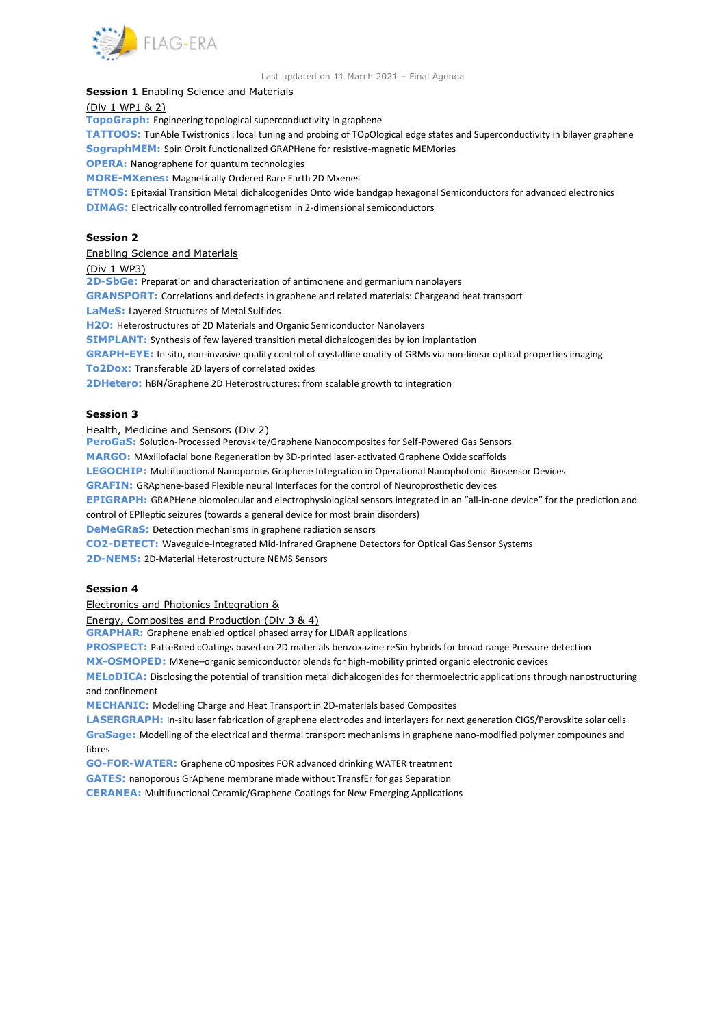

#### Last updated on 11 March 2021 – Final Agenda

## **Session 1 Enabling Science and Materials**

(Div 1 WP1 & 2)

**TopoGraph:** [Engineering topological superconductivity in graphene](https://www.flagera.eu/wp-content/uploads/2019/01/TopoGraph.pdf)

**TATTOOS:** [TunAble Twistronics : local tuning and probing of TOpOlogical edge states and Superconductivity in bilayer graphene](https://www.flagera.eu/wp-content/uploads/2020/06/FLAG-ERA_JTC2019_GRA-BR_TATOOS.pdf) **SographMEM:** [Spin Orbit functionalized GRAPHene for resistive-magnetic MEMories](https://www.flagera.eu/wp-content/uploads/2020/06/FLAG-ERA_JTC2019_GRA-BR_SOgraphMEM.pdf)

**OPERA:** [Nanographene for quantum technologies](https://www.flagera.eu/wp-content/uploads/2020/06/FLAG-ERA_JTC2019_GRA-BR_OPERA.pdf)

**MORE-MXenes:** [Magnetically Ordered Rare Earth 2D Mxenes](https://www.flagera.eu/wp-content/uploads/2019/01/MORE-MXenes.pdf)

**ETMOS:** [Epitaxial Transition Metal dichalcogenides Onto wide bandgap hexagonal Semiconductors for advanced electronics](https://www.flagera.eu/wp-content/uploads/2020/06/FLAG-ERA_JTC2019_GRA-ARI_ETMOS.pdf) **DIMAG:** [Electrically controlled ferromagnetism in 2-dimensional semiconductors](https://www.flagera.eu/wp-content/uploads/2020/06/FLAG-ERA_JTC2019_GRA-BR_DIMAG.pdf)

#### **Session 2**

Enabling Science and Materials

#### (Div 1 WP3)

**2D-SbGe:** [Preparation and characterization of antimonene and germanium nanolayers](https://www.flagera.eu/wp-content/uploads/2019/01/2D-SbGE.pdf)

**GRANSPORT:** [Correlations and defects in graphene and related materials: Chargeand heat transport](https://www.flagera.eu/wp-content/uploads/2019/01/GRANSPORT.pdf)

**LaMeS:** [Layered Structures of Metal Sulfides](https://www.flagera.eu/wp-content/uploads/2019/01/LaMeS.pdf)

**H2O:** [Heterostructures of 2D Materials and Organic Semiconductor Nanolayers](https://www.flagera.eu/wp-content/uploads/2019/01/H2O.pdf)

**SIMPLANT:** [Synthesis of few layered transition metal dichalcogenides by ion implantation](https://www.flagera.eu/wp-content/uploads/2019/01/SIMPLANT.pdf)

**GRAPH-EYE:** [In situ, non-invasive quality control of crystalline quality of GRMs via non-linear optical properties imaging](https://www.flagera.eu/wp-content/uploads/2019/01/GRAPH-EYE.pdf)

**To2Dox:** [Transferable 2D layers of correlated oxides](https://www.flagera.eu/wp-content/uploads/2020/06/FLAG-ERA_JTC2019_GRA-BR_To2Dox.pdf)

**2DHetero:** [hBN/Graphene 2D Heterostructures: from scalable growth to integration](https://www.flagera.eu/wp-content/uploads/2020/06/FLAG-ERA_JTC2019_GRA-BR_2DHetero.pdf)

#### **Session 3**

#### Health, Medicine and Sensors (Div 2)

**PeroGaS:** [Solution-Processed Perovskite/Graphene Nanocomposites for Self-Powered Gas Sensors](https://www.flagera.eu/wp-content/uploads/2020/06/FLAG-ERA_JTC2019_GRA-ARI_PeroGaS.pdf)

**MARGO:** [MAxillofacial bone Regeneration by 3D-printed laser-activated Graphene Oxide scaffolds](https://www.flagera.eu/wp-content/uploads/2020/06/FLAG-ERA_JTC2019_GRA-ARI_MARGO.pdf)

**LEGOCHIP:** [Multifunctional Nanoporous Graphene Integration in Operational Nanophotonic Biosensor Devices](https://www.flagera.eu/wp-content/uploads/2020/06/FLAG-ERA_JTC2019_GRA-ARI_LEGOCHIP.pdf)

**GRAFIN:** [GRAphene-based Flexible neural Interfaces for the control of Neuroprosthetic devices](https://www.flagera.eu/wp-content/uploads/2019/01/GRAFIN.pdf)

**EPIGRAPH:** [GRAPHene biomolecular and electrophysiological sensors integrated in an "all](https://www.flagera.eu/wp-content/uploads/2019/01/EPIGRAPH.pdf)-in-one device" for the prediction and [control of EPIleptic seizures \(towards a general device for most brain disorders\)](https://www.flagera.eu/wp-content/uploads/2019/01/EPIGRAPH.pdf)

**DeMeGRaS:** [Detection mechanisms in graphene radiation sensors](https://www.flagera.eu/wp-content/uploads/2020/06/FLAG-ERA_JTC2019_GRA-BR_DeMeGRaS.pdf)

**CO2-DETECT:** [Waveguide-Integrated Mid-Infrared Graphene Detectors for Optical Gas Sensor Systems](https://www.flagera.eu/wp-content/uploads/2019/01/CO2-DETECT.pdf)

**2D-NEMS:** [2D-Material Heterostructure NEMS Sensors](https://www.flagera.eu/wp-content/uploads/2020/06/FLAG-ERA_JTC2019_GRA-BR_2D-NEMS.pdf)

### **Session 4**

Electronics and Photonics Integration &

Energy, Composites and Production (Div 3 & 4)

**GRAPHAR:** [Graphene enabled optical phased array for LIDAR applications](https://www.flagera.eu/wp-content/uploads/2020/06/FLAG-ERA_JTC2019_GRA-ARI_GRAPHAR.pdf)

**PROSPECT:** [PatteRned cOatings based on 2D materials benzoxazine reSin hybrids for broad range Pressure detection](https://www.flagera.eu/wp-content/uploads/2020/06/FLAG-ERA_JTC2019_GRA-BR_PROSPECT.pdf)

**MX-OSMOPED:** MXene–[organic semiconductor blends for high-mobility printed organic electronic devices](https://www.flagera.eu/wp-content/uploads/2019/01/MX-OSMOPED.pdf)

**MELoDICA:** [Disclosing the potential of transition metal dichalcogenides for thermoelectric applications through nanostructuring](https://www.flagera.eu/wp-content/uploads/2019/01/MELoDICA.pdf)  [and confinement](https://www.flagera.eu/wp-content/uploads/2019/01/MELoDICA.pdf)

**MECHANIC:** [Modelling Charge and Heat Transport in 2D-materIals based Composites](https://www.flagera.eu/wp-content/uploads/2019/01/MECHANIC.pdf)

**LASERGRAPH:** [In-situ laser fabrication of graphene electrodes and interlayers for next generation CIGS/Perovskite solar cells](https://www.flagera.eu/wp-content/uploads/2020/06/FLAG-ERA_JTC2019_GRA-ARI_LASERGRAPH.pdf) **GraSage:** [Modelling of the electrical and thermal transport mechanisms in graphene nano-modified polymer compounds and](https://www.flagera.eu/wp-content/uploads/2019/01/GraSage.pdf)  [fibres](https://www.flagera.eu/wp-content/uploads/2019/01/GraSage.pdf)

**GO-FOR-WATER:** [Graphene cOmposites FOR advanced drinking WATER treatment](https://www.flagera.eu/wp-content/uploads/2021/02/FLAG-ERA_JTC2019_GRA-ARI_GO-FOR-WATER_2.pdf)

**GATES:** [nanoporous GrAphene membrane made without TransfEr for gas Separation](https://www.flagera.eu/wp-content/uploads/2019/01/GATES.pdf)

**CERANEA:** Multifunctional Ceramic/Graphene Coatings for New Emerging Applications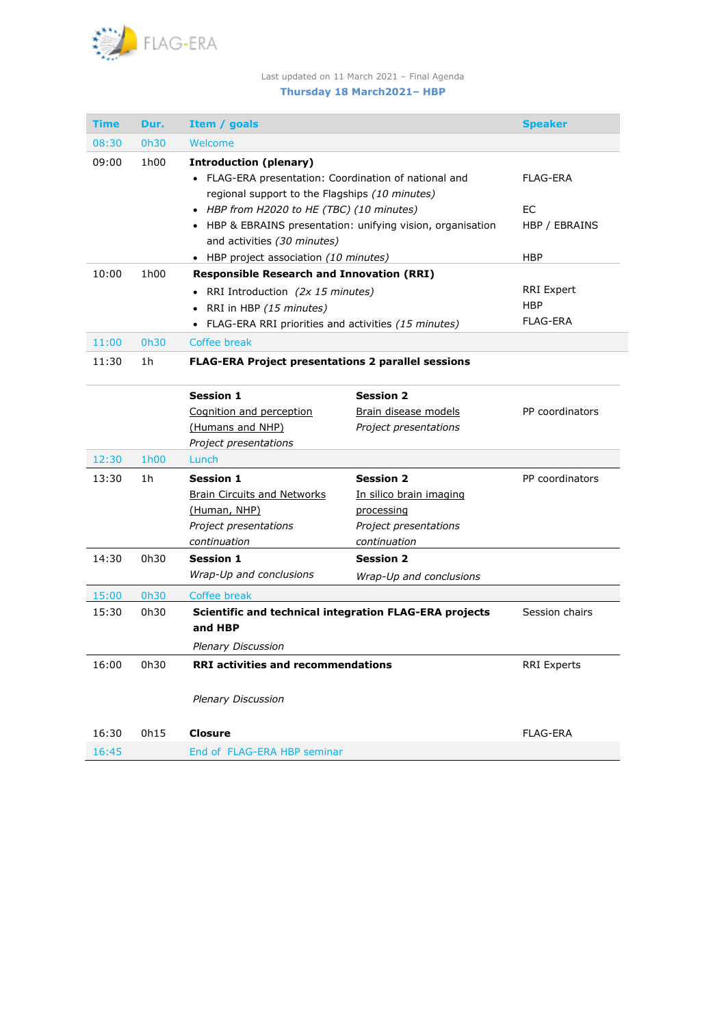

# Last updated on 11 March 2021 – Final Agenda

# **Thursday 18 March2021– HBP**

| <b>Time</b> | Dur.             | Item / goals                                                                                                         |                                     | <b>Speaker</b>                              |  |  |
|-------------|------------------|----------------------------------------------------------------------------------------------------------------------|-------------------------------------|---------------------------------------------|--|--|
| 08:30       | 0h30             | Welcome                                                                                                              |                                     |                                             |  |  |
| 09:00       | 1 <sub>h00</sub> | <b>Introduction (plenary)</b><br>• FLAG-ERA presentation: Coordination of national and                               | FLAG-ERA                            |                                             |  |  |
|             |                  | regional support to the Flagships (10 minutes)<br>• HBP from H2020 to HE (TBC) (10 minutes)                          | EC                                  |                                             |  |  |
|             |                  | • HBP & EBRAINS presentation: unifying vision, organisation<br>and activities (30 minutes)                           | HBP / EBRAINS                       |                                             |  |  |
|             |                  | • HBP project association (10 minutes)                                                                               | <b>HBP</b>                          |                                             |  |  |
| 10:00       | 1h00             | <b>Responsible Research and Innovation (RRI)</b>                                                                     |                                     |                                             |  |  |
|             |                  | • RRI Introduction (2x 15 minutes)<br>RRI in HBP (15 minutes)<br>FLAG-ERA RRI priorities and activities (15 minutes) |                                     | <b>RRI Expert</b><br><b>HBP</b><br>FLAG-ERA |  |  |
| 11:00       | 0h30             | Coffee break                                                                                                         |                                     |                                             |  |  |
| 11:30       | 1h               | <b>FLAG-ERA Project presentations 2 parallel sessions</b>                                                            |                                     |                                             |  |  |
|             |                  | <b>Session 1</b>                                                                                                     | <b>Session 2</b>                    |                                             |  |  |
|             |                  | Cognition and perception                                                                                             | Brain disease models                | PP coordinators                             |  |  |
|             |                  | (Humans and NHP)                                                                                                     | Project presentations               |                                             |  |  |
|             |                  | Project presentations                                                                                                |                                     |                                             |  |  |
| 12:30       | 1h00             | Lunch                                                                                                                |                                     |                                             |  |  |
| 13:30       | 1h               | <b>Session 1</b>                                                                                                     | <b>Session 2</b>                    | PP coordinators                             |  |  |
|             |                  | <b>Brain Circuits and Networks</b>                                                                                   | In silico brain imaging             |                                             |  |  |
|             |                  | (Human, NHP)<br>Project presentations                                                                                | processing<br>Project presentations |                                             |  |  |
|             |                  | continuation                                                                                                         | continuation                        |                                             |  |  |
| 14:30       | 0h30             | <b>Session 1</b>                                                                                                     | <b>Session 2</b>                    |                                             |  |  |
|             |                  | Wrap-Up and conclusions                                                                                              | Wrap-Up and conclusions             |                                             |  |  |
| 15:00       | 0h30             | Coffee break                                                                                                         |                                     |                                             |  |  |
| 15:30       | 0h30             | Scientific and technical integration FLAG-ERA projects<br>and HBP                                                    |                                     | Session chairs                              |  |  |
|             |                  | <b>Plenary Discussion</b>                                                                                            |                                     |                                             |  |  |
| 16:00       | 0h30             | <b>RRI activities and recommendations</b>                                                                            | <b>RRI Experts</b>                  |                                             |  |  |
|             |                  | <b>Plenary Discussion</b>                                                                                            |                                     |                                             |  |  |
| 16:30       | 0h15             | <b>Closure</b>                                                                                                       |                                     | <b>FLAG-ERA</b>                             |  |  |
| 16:45       |                  | End of FLAG-ERA HBP seminar                                                                                          |                                     |                                             |  |  |